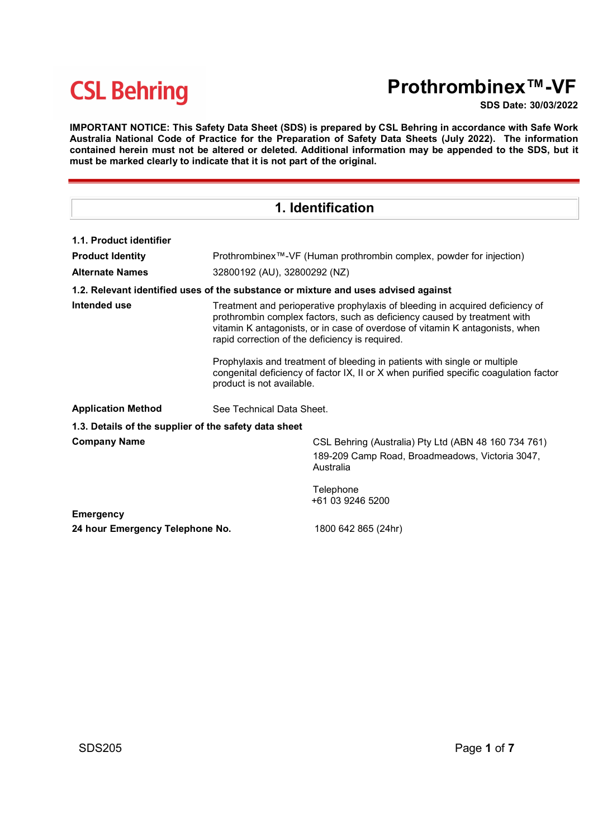# Prothrombinex™-VF

SDS Date: 30/03/2022

IMPORTANT NOTICE: This Safety Data Sheet (SDS) is prepared by CSL Behring in accordance with Safe Work Australia National Code of Practice for the Preparation of Safety Data Sheets (July 2022). The information contained herein must not be altered or deleted. Additional information may be appended to the SDS, but it must be marked clearly to indicate that it is not part of the original.

| 1. Identification                                     |                                                                                                                                                                                                                                                                                              |                                                                                                                                                                    |  |  |
|-------------------------------------------------------|----------------------------------------------------------------------------------------------------------------------------------------------------------------------------------------------------------------------------------------------------------------------------------------------|--------------------------------------------------------------------------------------------------------------------------------------------------------------------|--|--|
| 1.1. Product identifier                               |                                                                                                                                                                                                                                                                                              |                                                                                                                                                                    |  |  |
| <b>Product Identity</b>                               |                                                                                                                                                                                                                                                                                              | Prothrombinex™-VF (Human prothrombin complex, powder for injection)                                                                                                |  |  |
| <b>Alternate Names</b>                                |                                                                                                                                                                                                                                                                                              | 32800192 (AU), 32800292 (NZ)                                                                                                                                       |  |  |
|                                                       |                                                                                                                                                                                                                                                                                              | 1.2. Relevant identified uses of the substance or mixture and uses advised against                                                                                 |  |  |
| Intended use                                          | Treatment and perioperative prophylaxis of bleeding in acquired deficiency of<br>prothrombin complex factors, such as deficiency caused by treatment with<br>vitamin K antagonists, or in case of overdose of vitamin K antagonists, when<br>rapid correction of the deficiency is required. |                                                                                                                                                                    |  |  |
|                                                       | product is not available.                                                                                                                                                                                                                                                                    | Prophylaxis and treatment of bleeding in patients with single or multiple<br>congenital deficiency of factor IX, II or X when purified specific coagulation factor |  |  |
| <b>Application Method</b>                             |                                                                                                                                                                                                                                                                                              | See Technical Data Sheet.                                                                                                                                          |  |  |
| 1.3. Details of the supplier of the safety data sheet |                                                                                                                                                                                                                                                                                              |                                                                                                                                                                    |  |  |
| <b>Company Name</b>                                   |                                                                                                                                                                                                                                                                                              | CSL Behring (Australia) Pty Ltd (ABN 48 160 734 761)<br>189-209 Camp Road, Broadmeadows, Victoria 3047,<br>Australia                                               |  |  |
|                                                       |                                                                                                                                                                                                                                                                                              | Telephone<br>+61 03 9246 5200                                                                                                                                      |  |  |
| <b>Emergency</b><br>24 hour Emergency Telephone No.   |                                                                                                                                                                                                                                                                                              | 1800 642 865 (24hr)                                                                                                                                                |  |  |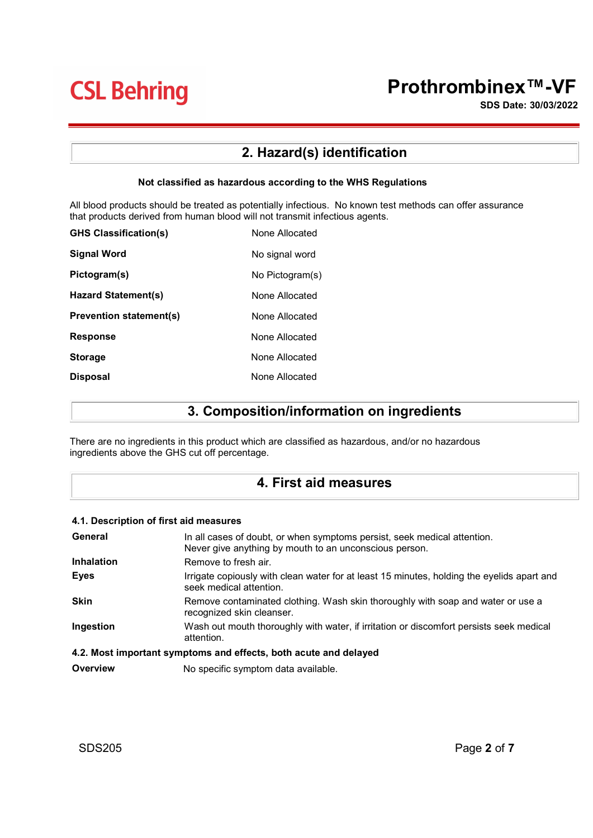# Prothrombinex™-VF

SDS Date: 30/03/2022

## 2. Hazard(s) identification

### Not classified as hazardous according to the WHS Regulations

All blood products should be treated as potentially infectious. No known test methods can offer assurance that products derived from human blood will not transmit infectious agents.

| <b>GHS Classification(s)</b>   | None Allocated  |
|--------------------------------|-----------------|
| <b>Signal Word</b>             | No signal word  |
| Pictogram(s)                   | No Pictogram(s) |
| Hazard Statement(s)            | None Allocated  |
| <b>Prevention statement(s)</b> | None Allocated  |
| <b>Response</b>                | None Allocated  |
| <b>Storage</b>                 | None Allocated  |
| <b>Disposal</b>                | None Allocated  |

## 3. Composition/information on ingredients

There are no ingredients in this product which are classified as hazardous, and/or no hazardous ingredients above the GHS cut off percentage.

### 4. First aid measures

### 4.1. Description of first aid measures

| General     | In all cases of doubt, or when symptoms persist, seek medical attention.<br>Never give anything by mouth to an unconscious person. |
|-------------|------------------------------------------------------------------------------------------------------------------------------------|
| Inhalation  | Remove to fresh air.                                                                                                               |
| Eyes        | Irrigate copiously with clean water for at least 15 minutes, holding the eyelids apart and<br>seek medical attention.              |
| <b>Skin</b> | Remove contaminated clothing. Wash skin thoroughly with soap and water or use a<br>recognized skin cleanser.                       |
| Ingestion   | Wash out mouth thoroughly with water, if irritation or discomfort persists seek medical<br>attention.                              |
|             | A 2. Most important symptoms and offosts, both acute and delayed                                                                   |

#### 4.2. Most important symptoms and effects, both acute and delayed

**Overview Mo specific symptom data available.**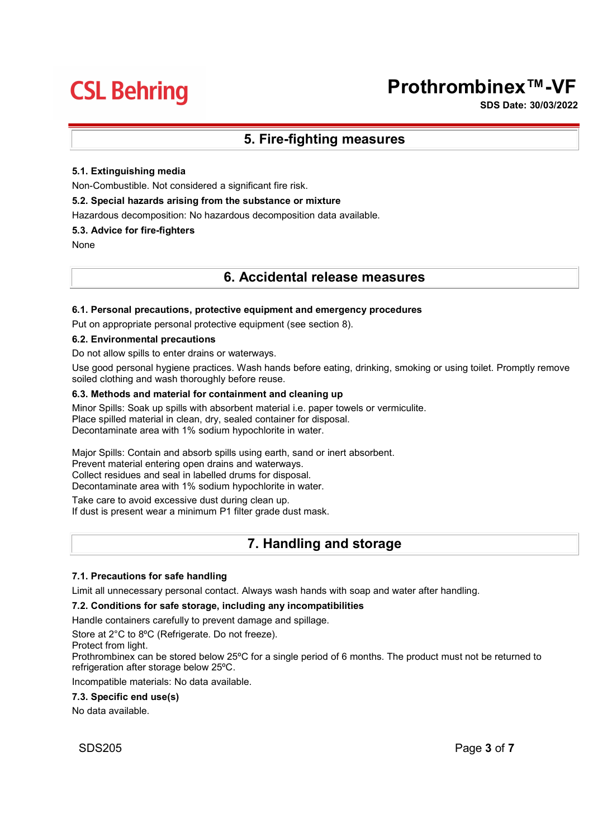# Prothrombinex™-VF

SDS Date: 30/03/2022

### 5. Fire-fighting measures

### 5.1. Extinguishing media

Non-Combustible. Not considered a significant fire risk.

### 5.2. Special hazards arising from the substance or mixture

Hazardous decomposition: No hazardous decomposition data available.

### 5.3. Advice for fire-fighters

None

### 6. Accidental release measures

### 6.1. Personal precautions, protective equipment and emergency procedures

Put on appropriate personal protective equipment (see section 8).

#### 6.2. Environmental precautions

Do not allow spills to enter drains or waterways.

Use good personal hygiene practices. Wash hands before eating, drinking, smoking or using toilet. Promptly remove soiled clothing and wash thoroughly before reuse.

### 6.3. Methods and material for containment and cleaning up

Minor Spills: Soak up spills with absorbent material i.e. paper towels or vermiculite. Place spilled material in clean, dry, sealed container for disposal. Decontaminate area with 1% sodium hypochlorite in water.

Major Spills: Contain and absorb spills using earth, sand or inert absorbent.

Prevent material entering open drains and waterways.

Collect residues and seal in labelled drums for disposal.

Decontaminate area with 1% sodium hypochlorite in water.

Take care to avoid excessive dust during clean up. If dust is present wear a minimum P1 filter grade dust mask.

### 7. Handling and storage

### 7.1. Precautions for safe handling

Limit all unnecessary personal contact. Always wash hands with soap and water after handling.

#### 7.2. Conditions for safe storage, including any incompatibilities

Handle containers carefully to prevent damage and spillage.

Store at 2°C to 8ºC (Refrigerate. Do not freeze).

Protect from light.

Prothrombinex can be stored below 25ºC for a single period of 6 months. The product must not be returned to refrigeration after storage below 25ºC.

Incompatible materials: No data available.

### 7.3. Specific end use(s)

No data available.

SDS205 Page 3 of 7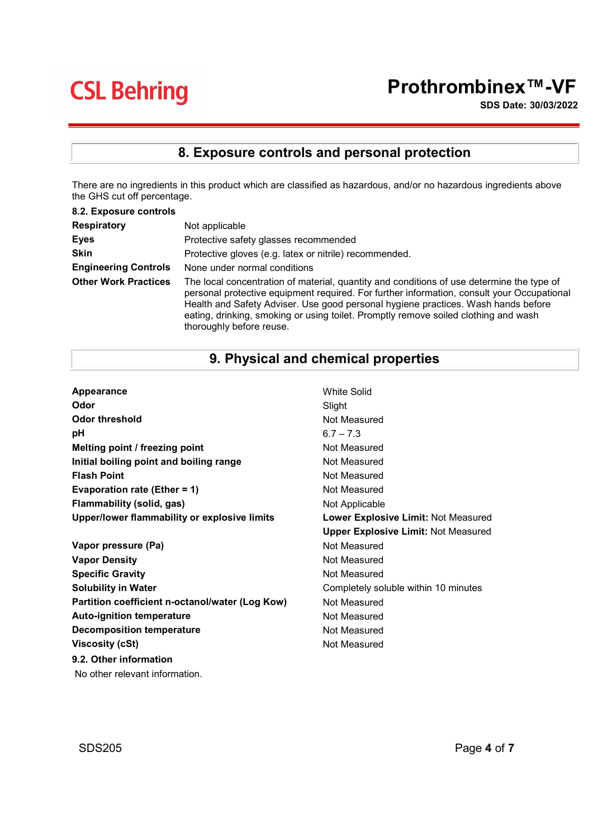# Prothrombinex™-VF

SDS Date: 30/03/2022

# 8. Exposure controls and personal protection

There are no ingredients in this product which are classified as hazardous, and/or no hazardous ingredients above the GHS cut off percentage.

| 8.2. Exposure controls      |                                                                                                                                                                                                                                                                                                                                                                                                 |
|-----------------------------|-------------------------------------------------------------------------------------------------------------------------------------------------------------------------------------------------------------------------------------------------------------------------------------------------------------------------------------------------------------------------------------------------|
| <b>Respiratory</b>          | Not applicable                                                                                                                                                                                                                                                                                                                                                                                  |
| <b>Eyes</b>                 | Protective safety glasses recommended                                                                                                                                                                                                                                                                                                                                                           |
| <b>Skin</b>                 | Protective gloves (e.g. latex or nitrile) recommended.                                                                                                                                                                                                                                                                                                                                          |
| <b>Engineering Controls</b> | None under normal conditions                                                                                                                                                                                                                                                                                                                                                                    |
| <b>Other Work Practices</b> | The local concentration of material, quantity and conditions of use determine the type of<br>personal protective equipment required. For further information, consult your Occupational<br>Health and Safety Adviser. Use good personal hygiene practices. Wash hands before<br>eating, drinking, smoking or using toilet. Promptly remove soiled clothing and wash<br>thoroughly before reuse. |

## 9. Physical and chemical properties

| Appearance                                      | White Solid                                |
|-------------------------------------------------|--------------------------------------------|
| Odor                                            | Slight                                     |
| <b>Odor threshold</b>                           | Not Measured                               |
| рH                                              | $6.7 - 7.3$                                |
| Melting point / freezing point                  | Not Measured                               |
| Initial boiling point and boiling range         | Not Measured                               |
| <b>Flash Point</b>                              | Not Measured                               |
| Evaporation rate (Ether = 1)                    | Not Measured                               |
| Flammability (solid, gas)                       | Not Applicable                             |
| Upper/lower flammability or explosive limits    | Lower Explosive Limit: Not Measured        |
|                                                 | <b>Upper Explosive Limit: Not Measured</b> |
| Vapor pressure (Pa)                             | Not Measured                               |
| <b>Vapor Density</b>                            | Not Measured                               |
| <b>Specific Gravity</b>                         | Not Measured                               |
| <b>Solubility in Water</b>                      | Completely soluble within 10 minutes       |
| Partition coefficient n-octanol/water (Log Kow) | Not Measured                               |
| <b>Auto-ignition temperature</b>                | Not Measured                               |
| <b>Decomposition temperature</b>                | Not Measured                               |
| <b>Viscosity (cSt)</b>                          | Not Measured                               |
| 9.2. Other information                          |                                            |
| No other relevant information.                  |                                            |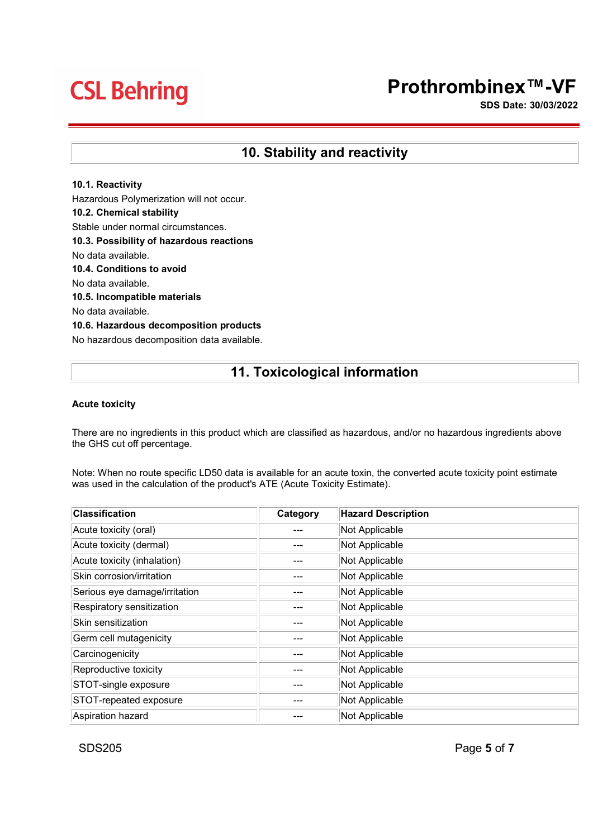# Prothrombinex™-VF

SDS Date: 30/03/2022

### 10. Stability and reactivity

### 10.1. Reactivity

Hazardous Polymerization will not occur. 10.2. Chemical stability Stable under normal circumstances. 10.3. Possibility of hazardous reactions No data available. 10.4. Conditions to avoid No data available. 10.5. Incompatible materials No data available. 10.6. Hazardous decomposition products No hazardous decomposition data available.

## 11. Toxicological information

### Acute toxicity

There are no ingredients in this product which are classified as hazardous, and/or no hazardous ingredients above the GHS cut off percentage.

Note: When no route specific LD50 data is available for an acute toxin, the converted acute toxicity point estimate was used in the calculation of the product's ATE (Acute Toxicity Estimate).

| <b>Classification</b>         | Category | <b>Hazard Description</b> |
|-------------------------------|----------|---------------------------|
| Acute toxicity (oral)         |          | Not Applicable            |
| Acute toxicity (dermal)       |          | Not Applicable            |
| Acute toxicity (inhalation)   |          | Not Applicable            |
| Skin corrosion/irritation     |          | Not Applicable            |
| Serious eye damage/irritation |          | Not Applicable            |
| Respiratory sensitization     |          | Not Applicable            |
| Skin sensitization            |          | Not Applicable            |
| Germ cell mutagenicity        |          | Not Applicable            |
| Carcinogenicity               |          | Not Applicable            |
| Reproductive toxicity         |          | Not Applicable            |
| STOT-single exposure          |          | Not Applicable            |
| STOT-repeated exposure        |          | Not Applicable            |
| Aspiration hazard             |          | Not Applicable            |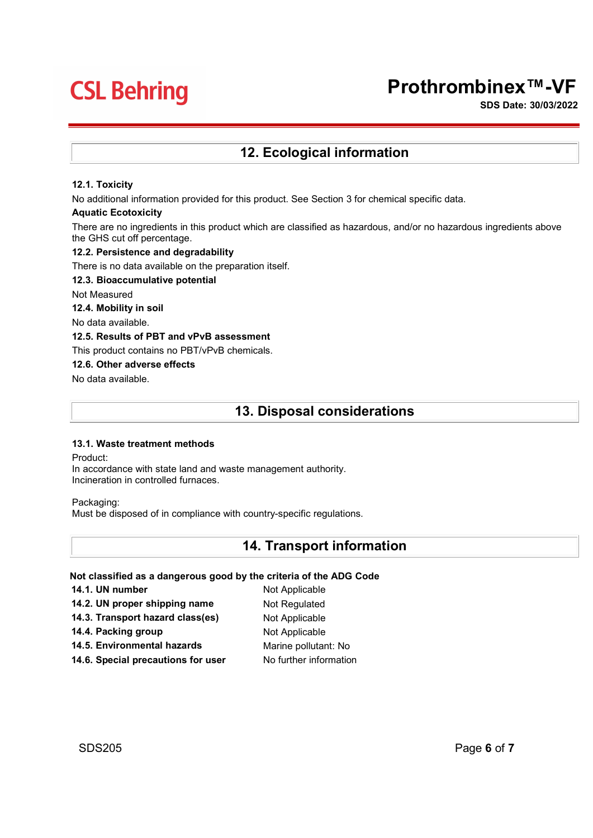# Prothrombinex™-VF

SDS Date: 30/03/2022

### 12. Ecological information

### 12.1. Toxicity

No additional information provided for this product. See Section 3 for chemical specific data.

#### Aquatic Ecotoxicity

There are no ingredients in this product which are classified as hazardous, and/or no hazardous ingredients above the GHS cut off percentage.

### 12.2. Persistence and degradability

There is no data available on the preparation itself.

#### 12.3. Bioaccumulative potential

Not Measured

12.4. Mobility in soil

No data available.

### 12.5. Results of PBT and vPvB assessment

This product contains no PBT/vPvB chemicals.

### 12.6. Other adverse effects

No data available.

### 13. Disposal considerations

### 13.1. Waste treatment methods

Product:

In accordance with state land and waste management authority. Incineration in controlled furnaces.

Packaging:

Must be disposed of in compliance with country-specific regulations.

### 14. Transport information

### Not classified as a dangerous good by the criteria of the ADG Code

| 14.1. UN number                    | Not Applicable         |
|------------------------------------|------------------------|
| 14.2. UN proper shipping name      | Not Regulated          |
| 14.3. Transport hazard class(es)   | Not Applicable         |
| 14.4. Packing group                | Not Applicable         |
| 14.5. Environmental hazards        | Marine pollutant: No   |
| 14.6. Special precautions for user | No further information |